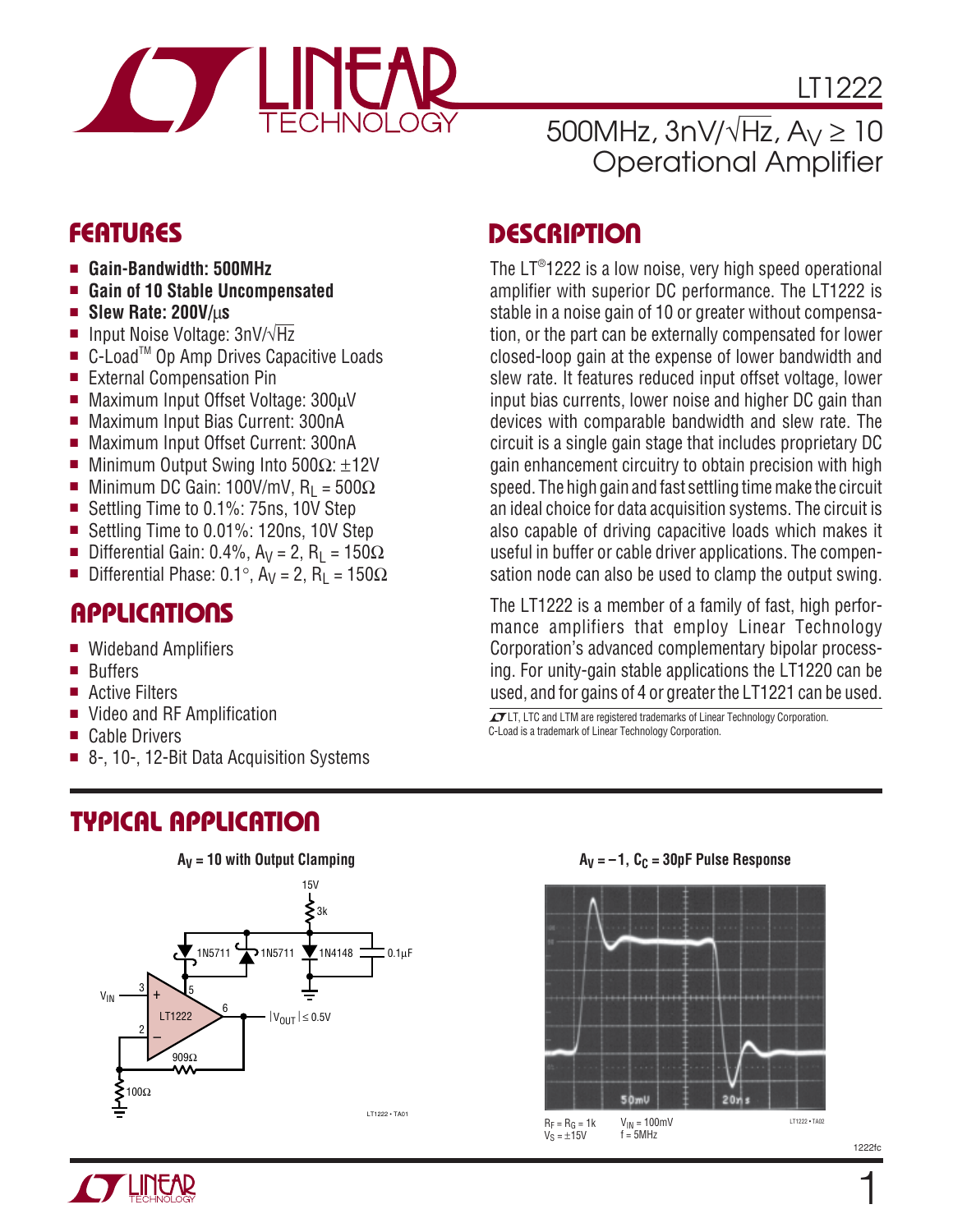

LT1222

### 500MHz,  $3nV/\sqrt{Hz}$ ,  $A_V \ge 10$ Operational Amplifier

- **Gain-Bandwidth: 500MHz**
- **Gain of 10 Stable Uncompensated**
- **Slew Rate: 200V/**μ**s**
- Input Noise Voltage: 3nV/√Hz
- C-Load<sup>™</sup> Op Amp Drives Capacitive Loads
- External Compensation Pin
- Maximum Input Offset Voltage: 300µV
- Maximum Input Bias Current: 300nA
- Maximum Input Offset Current: 300nA
- Minimum Output Swing Into  $500Ω: ±12V$
- Minimum DC Gain: 100V/mV, R<sub>L</sub> = 500Ω
- Settling Time to 0.1%: 75ns, 10V Step
- Settling Time to 0.01%: 120ns, 10V Step
- Differential Gain: 0.4%, A<sub>V</sub> = 2, R<sub>L</sub> = 150Ω
- Differential Phase: 0.1°, A<sub>V</sub> = 2, R<sub>L</sub> = 150Ω

### **APPLICATIONS**

- Wideband Amplifiers
- Buffers
- Active Filters
- Video and RF Amplification
- Cable Drivers
- 8-, 10-, 12-Bit Data Acquisition Systems

# **TYPICAL APPLICATION**



# **DESCRIPTIO <sup>U</sup> FEATURES**

The LT®1222 is a low noise, very high speed operational amplifier with superior DC performance. The LT1222 is stable in a noise gain of 10 or greater without compensation, or the part can be externally compensated for lower closed-loop gain at the expense of lower bandwidth and slew rate. It features reduced input offset voltage, lower input bias currents, lower noise and higher DC gain than devices with comparable bandwidth and slew rate. The circuit is a single gain stage that includes proprietary DC gain enhancement circuitry to obtain precision with high speed. The high gain and fast settling time make the circuit an ideal choice for data acquisition systems. The circuit is also capable of driving capacitive loads which makes it useful in buffer or cable driver applications. The compensation node can also be used to clamp the output swing.

The LT1222 is a member of a family of fast, high performance amplifiers that employ Linear Technology Corporation's advanced complementary bipolar processing. For unity-gain stable applications the LT1220 can be used, and for gains of 4 or greater the LT1221 can be used.

**IT LT, LTC and LTM are registered trademarks of Linear Technology Corporation.** C-Load is a trademark of Linear Technology Corporation.





1222fc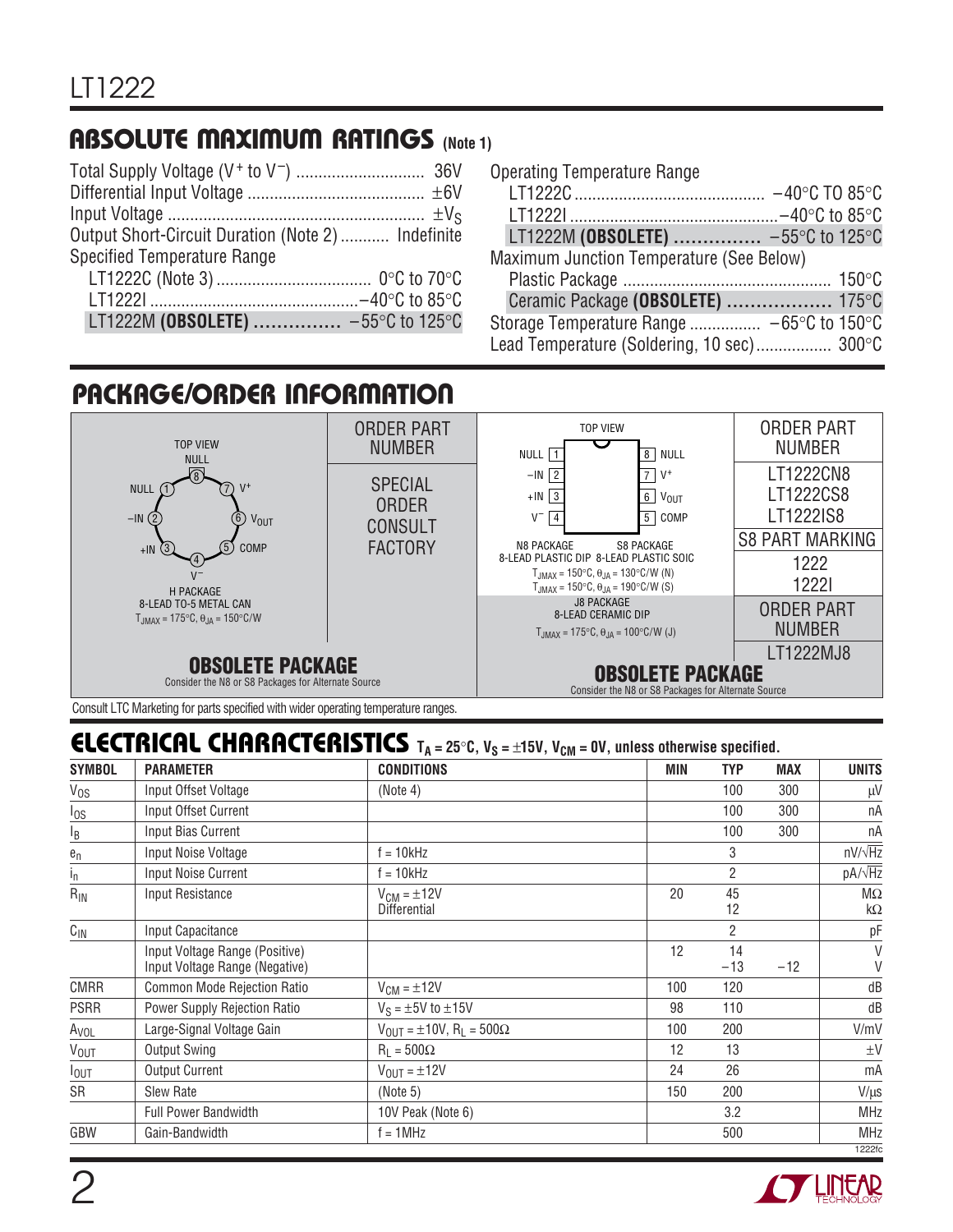### **ABSOLUTE MAXIMUM RATINGS (Note 1)**

| Output Short-Circuit Duration (Note 2)  Indefinite |  |
|----------------------------------------------------|--|
| Specified Temperature Range                        |  |
|                                                    |  |
|                                                    |  |
| LT1222M (OBSOLETE)  -55°C to 125°C                 |  |
|                                                    |  |

| <b>Operating Temperature Range</b>                            |  |
|---------------------------------------------------------------|--|
|                                                               |  |
|                                                               |  |
| LT1222M (OBSOLETE)  -55°C to 125°C                            |  |
| Maximum Junction Temperature (See Below)                      |  |
|                                                               |  |
| Ceramic Package (OBSOLETE)  175°C                             |  |
| Storage Temperature Range $-65^{\circ}$ C to 150 $^{\circ}$ C |  |
| Lead Temperature (Soldering, 10 sec) 300°C                    |  |

# **PACKAGE/ORDER INFORMATION**



Consult LTC Marketing for parts specified with wider operating temperature ranges.

### **ELECTRICAL CHARACTERISTICS**  $T_A = 25^\circ \text{C}$ ,  $V_S = \pm 15 \text{V}$ ,  $V_{\text{CM}} = 0 \text{V}$ , unless otherwise specified.

| <b>SYMBOL</b>          | <b>PARAMETER</b>                                                 | <b>CONDITIONS</b>                                    | MIN | <b>TYP</b>  | <b>MAX</b> | <b>UNITS</b>    |
|------------------------|------------------------------------------------------------------|------------------------------------------------------|-----|-------------|------------|-----------------|
| $V_{OS}$               | Input Offset Voltage                                             | (Note 4)                                             |     | 100         | 300        | μV              |
| $\frac{I_{OS}}{I}$     | Input Offset Current                                             |                                                      |     | 100         | 300        | nA              |
| $\overline{P}$         | Input Bias Current                                               |                                                      |     | 100         | 300        | nA              |
| ${\bf e}_n$            | Input Noise Voltage                                              | $f = 10kHz$                                          |     | 3           |            | $nV/\sqrt{Hz}$  |
| $I_{\Pi}$              | Input Noise Current                                              | $f = 10kHz$                                          |     | 2           |            | $pA/\sqrt{Hz}$  |
| $R_{IN}$               | Input Resistance                                                 | $V_{CM} = \pm 12V$<br>Differential                   | 20  | 45<br>12    |            | $M\Omega$<br>kΩ |
| $C_{\text{IN}}$        | Input Capacitance                                                |                                                      |     | 2           |            | рF              |
|                        | Input Voltage Range (Positive)<br>Input Voltage Range (Negative) |                                                      | 12  | 14<br>$-13$ | $-12$      | V<br>V          |
| <b>CMRR</b>            | Common Mode Rejection Ratio                                      | $V_{CM} = \pm 12V$                                   | 100 | 120         |            | dB              |
| <b>PSRR</b>            | Power Supply Rejection Ratio                                     | $V_S = \pm 5V$ to $\pm 15V$                          | 98  | 110         |            | dB              |
| A <sub>VOL</sub>       | Large-Signal Voltage Gain                                        | $V_{OIII} = \pm 10V$ , R <sub>1</sub> = 500 $\Omega$ | 100 | 200         |            | V/mV            |
| <b>V<sub>OUT</sub></b> | <b>Output Swing</b>                                              | $R_1 = 500\Omega$                                    | 12  | 13          |            | $\pm V$         |
| $I_{OUT}$              | <b>Output Current</b>                                            | $V_{\text{OUT}} = \pm 12V$                           | 24  | 26          |            | mA              |
| SR                     | <b>Slew Rate</b>                                                 | (Note 5)                                             | 150 | 200         |            | $V/\mu s$       |
|                        | <b>Full Power Bandwidth</b>                                      | 10V Peak (Note 6)                                    |     | 3.2         |            | <b>MHz</b>      |
| GBW                    | Gain-Bandwidth                                                   | $f = 1$ MHz                                          |     | 500         |            | <b>MHz</b>      |
|                        |                                                                  |                                                      |     |             |            | 1222fc          |

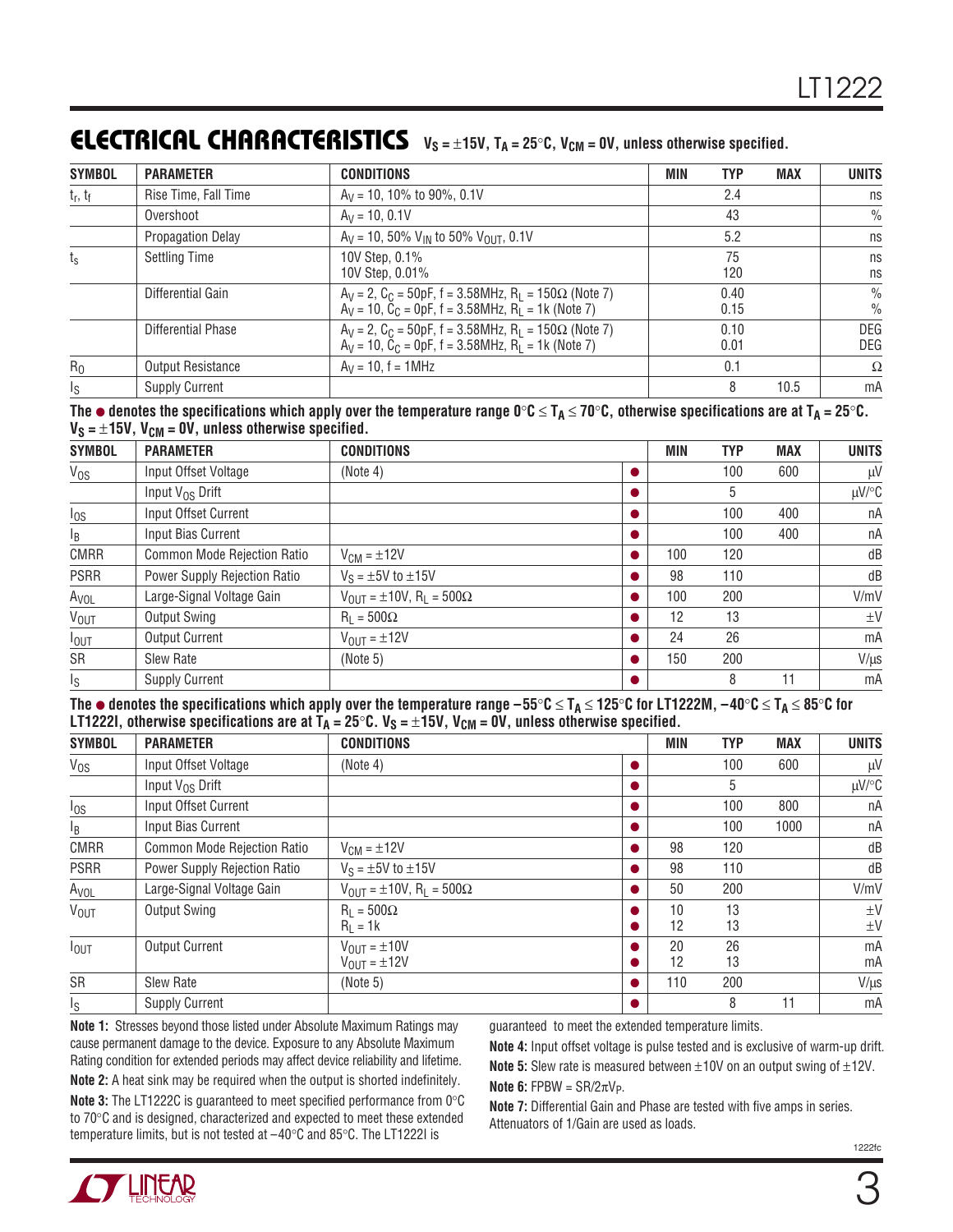### **ELECTRICAL CHARACTERISTICS**  $V_S = \pm 15V$ ,  $T_A = 25^\circ$ C,  $V_{CM} = 0V$ , unless otherwise specified.

| <b>SYMBOL</b>          | <b>PARAMETER</b>         | <b>CONDITIONS</b>                                                                                                                     | <b>TYP</b><br><b>MAX</b><br>MIN | <b>UNITS</b>                   |
|------------------------|--------------------------|---------------------------------------------------------------------------------------------------------------------------------------|---------------------------------|--------------------------------|
| $t_r, t_f$             | Rise Time, Fall Time     | $A_V = 10$ , 10% to 90%, 0.1V                                                                                                         | 2.4                             | ns                             |
|                        | Overshoot                | $A_V = 10, 0.1V$                                                                                                                      | 43                              | $\frac{0}{0}$                  |
|                        | <b>Propagation Delay</b> | $A_V = 10$ , 50% $V_{IN}$ to 50% $V_{OUIT}$ , 0.1V                                                                                    | 5.2                             | ns                             |
| $\mathfrak{t}_{\rm s}$ | <b>Settling Time</b>     | 10V Step, 0.1%<br>10V Step, 0.01%                                                                                                     | 75<br>120                       | ns<br>ns                       |
|                        | Differential Gain        | $A_V = 2$ , $C_C = 50pF$ , f = 3.58MHz, $R_1 = 150\Omega$ (Note 7)<br>$A_V = 10$ , $C_C = 0pF$ , $f = 3.58 MHz$ , $R_L = 1k$ (Note 7) | 0.40<br>0.15                    | $\frac{0}{0}$<br>$\frac{0}{0}$ |
|                        | Differential Phase       | $A_V = 2$ , $C_C = 50pF$ , f = 3.58MHz, $R_1 = 150\Omega$ (Note 7)<br>$A_V = 10$ , $C_C = 0pF$ , $f = 3.58 MHz$ , $R_L = 1k$ (Note 7) | 0.10<br>0.01                    | <b>DEG</b><br>DEG              |
| $R_0$                  | Output Resistance        | $A_V = 10$ , $f = 1 MHz$                                                                                                              | 0.1                             | Ω                              |
| $I_{\rm S}$            | <b>Supply Current</b>    |                                                                                                                                       | 10.5                            | mA                             |

The  $\bullet$  denotes the specifications which apply over the temperature range 0°C ≤ T<sub>A</sub> ≤ 70°C, otherwise specifications are at T<sub>A</sub> = 25°C.  $V_S = \pm 15V$ ,  $V_{CM} = 0V$ , unless otherwise specified.

| <b>SYMBOL</b>           | <b>PARAMETER</b>             | <b>CONDITIONS</b>                                          |  | MIN | <b>TYP</b> | <b>MAX</b> | <b>UNITS</b> |
|-------------------------|------------------------------|------------------------------------------------------------|--|-----|------------|------------|--------------|
| $V_{OS}$                | Input Offset Voltage         | (Note 4)                                                   |  |     | 100        | 600        | $\mu$ V      |
|                         | Input $V_{OS}$ Drift         |                                                            |  |     | 5          |            | µV/°C        |
| $I_{OS}$                | Input Offset Current         |                                                            |  |     | 100        | 400        | nA           |
| $I_B$                   | Input Bias Current           |                                                            |  |     | 100        | 400        | nA           |
| <b>CMRR</b>             | Common Mode Rejection Ratio  | $V_{CM} = \pm 12V$                                         |  | 100 | 120        |            | dB           |
| <b>PSRR</b>             | Power Supply Rejection Ratio | $V_S = \pm 5V$ to $\pm 15V$                                |  | 98  | 110        |            | dB           |
| A <sub>VOL</sub>        | Large-Signal Voltage Gain    | $V_{\text{OUT}} = \pm 10V$ , R <sub>L</sub> = 500 $\Omega$ |  | 100 | 200        |            | V/mV         |
| <b>VOUT</b>             | Output Swing                 | $R_1 = 500\Omega$                                          |  | 12  | 13         |            | $\pm V$      |
| $I_{OUT}$               | <b>Output Current</b>        | $V_{\text{OUT}} = \pm 12V$                                 |  | 24  | 26         |            | mA           |
| SR                      | <b>Slew Rate</b>             | (Note 5)                                                   |  | 150 | 200        |            | $V/\mu s$    |
| $\mathsf{I}_\mathsf{S}$ | <b>Supply Current</b>        |                                                            |  |     | 8          | 11         | mA           |

**The** ● **denotes the specifications which apply over the temperature range –55**°**C** ≤ **TA** ≤ **125**°**C for LT1222M, –40**°**C** ≤ **TA** ≤ **85**°**C for** LT1222I, otherwise specifications are at T<sub>A</sub> = 25°C. V<sub>S</sub> =  $\pm$ 15V, V<sub>CM</sub> = 0V, unless otherwise specified.

| <b>SYMBOL</b>           | <b>PARAMETER</b>             | <b>CONDITIONS</b>                                          | MIN      | <b>TYP</b> | <b>MAX</b> | <b>UNITS</b>       |
|-------------------------|------------------------------|------------------------------------------------------------|----------|------------|------------|--------------------|
| $V_{OS}$                | Input Offset Voltage         | (Note 4)                                                   |          | 100        | 600        | $\mu$ V            |
|                         | Input $V_{OS}$ Drift         |                                                            |          | 5          |            | µV/°C              |
| $I_{OS}$                | Input Offset Current         |                                                            |          | 100        | 800        | nA                 |
| l <sub>B</sub>          | Input Bias Current           |                                                            |          | 100        | 1000       | nA                 |
| <b>CMRR</b>             | Common Mode Rejection Ratio  | $V_{CM} = \pm 12V$                                         | 98       | 120        |            | dB                 |
| <b>PSRR</b>             | Power Supply Rejection Ratio | $V_S = \pm 5V$ to $\pm 15V$                                | 98       | 110        |            | dB                 |
| A <sub>VOL</sub>        | Large-Signal Voltage Gain    | $V_{\text{OUT}} = \pm 10V$ , R <sub>L</sub> = 500 $\Omega$ | 50       | 200        |            | V/mV               |
| <b>VOUT</b>             | Output Swing                 | $R_1 = 500\Omega$<br>$R1 = 1k$                             | 10<br>12 | 13<br>13   |            | $\pm V$<br>$\pm$ V |
| $I_{\text{OUT}}$        | <b>Output Current</b>        | $V_{OUIT} = \pm 10V$<br>$V_{\text{OUT}} = \pm 12V$         | 20<br>12 | 26<br>13   |            | mA<br>mA           |
| SR                      | <b>Slew Rate</b>             | (Note 5)                                                   | 110      | 200        |            | $V/\mu s$          |
| $\mathsf{I}_\mathsf{S}$ | <b>Supply Current</b>        |                                                            |          | 8          | 11         | mA                 |

**Note 1:** Stresses beyond those listed under Absolute Maximum Ratings may cause permanent damage to the device. Exposure to any Absolute Maximum Rating condition for extended periods may affect device reliability and lifetime. **Note 2:** A heat sink may be required when the output is shorted indefinitely.

guaranteed to meet the extended temperature limits.

**Note 4:** Input offset voltage is pulse tested and is exclusive of warm-up drift. **Note 5:** Slew rate is measured between  $\pm$ 10V on an output swing of  $\pm$ 12V.

**Note 6:** FPBW =  $\text{SR}/2\pi\text{V}_P$ .

**Note 3:** The LT1222C is guaranteed to meet specified performance from 0°C to 70°C and is designed, characterized and expected to meet these extended temperature limits, but is not tested at –40°C and 85°C. The LT1222I is

**Note 7:** Differential Gain and Phase are tested with five amps in series. Attenuators of 1/Gain are used as loads.

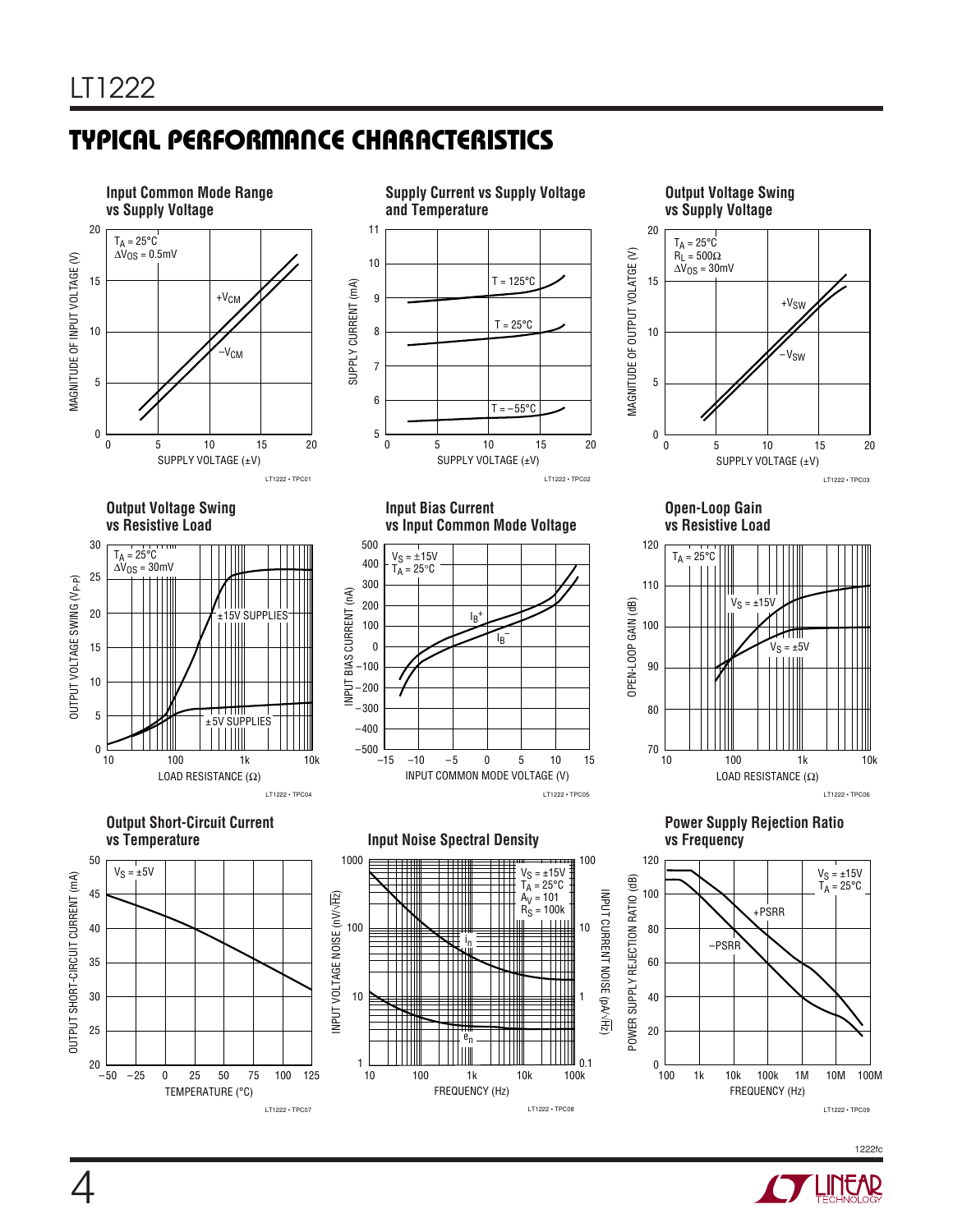4

# **TYPICAL PERFORMANCE CHARACTERISTICS W U**



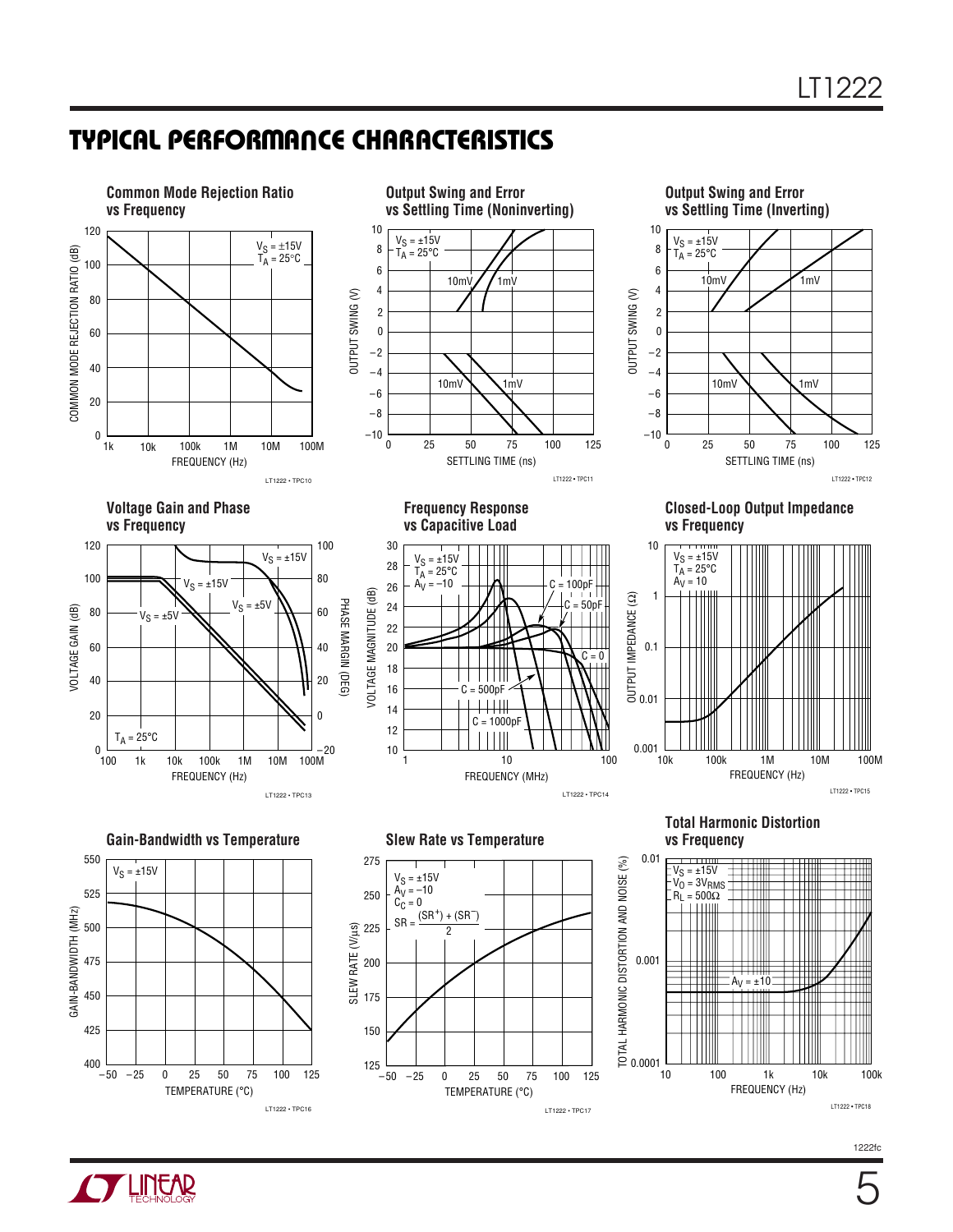# **TYPICAL PERFORMANCE CHARACTERISTICS W U**



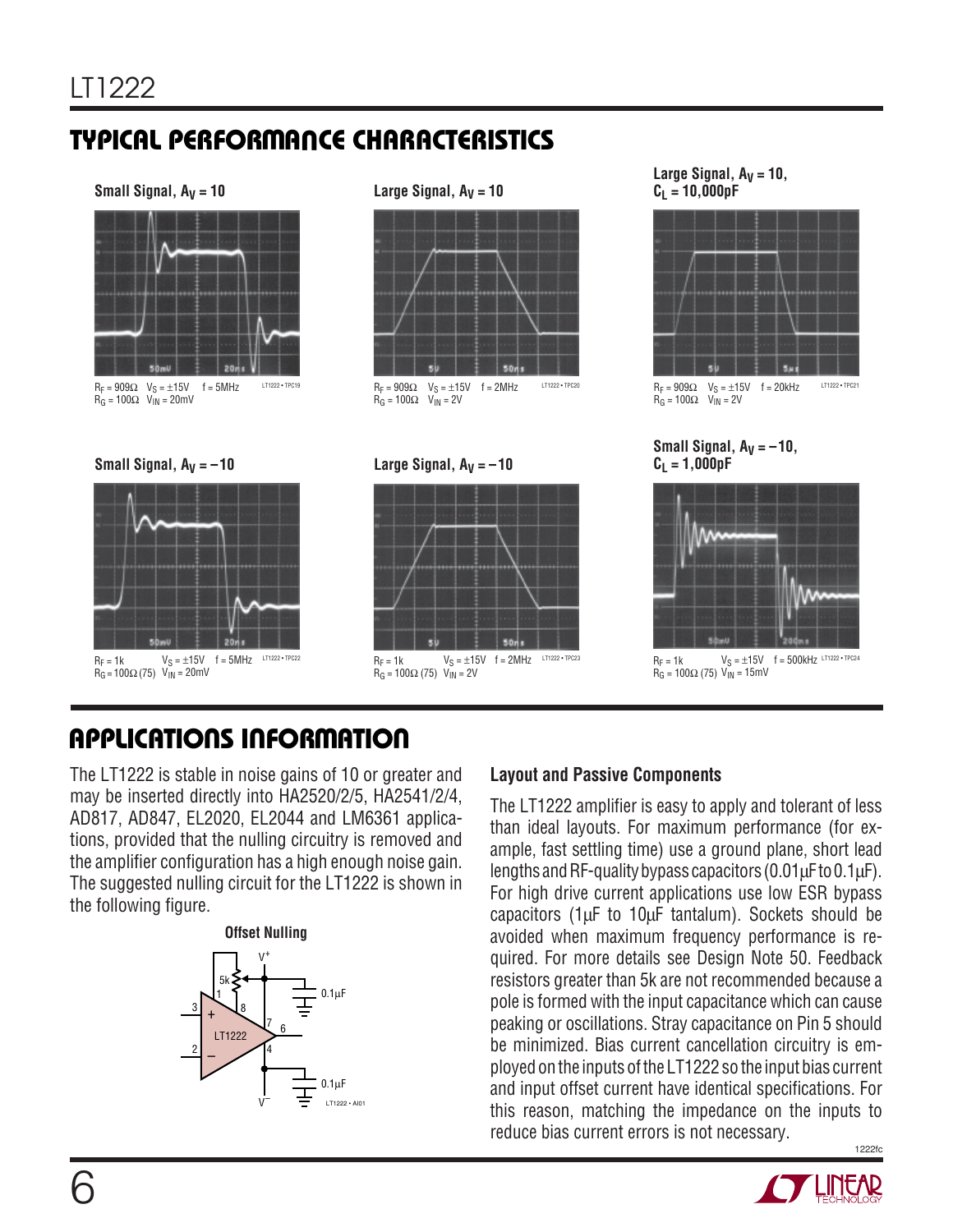# **TYPICAL PERFORMANCE CHARACTERISTICS W U**



 $R_F = 909\Omega$   $V_S = \pm 15V$  $R_G = 100\Omega$  V<sub>IN</sub> = 20mV





### **Small Signal, AV = 10 Large Signal, AV = 10**



 ${\sf f}$  = 5MHz  $^{\sf L}$   $^{\sf L}$  1222 • tpc19  $^{\sf L}$   ${\sf R}_{\sf F}$  = 909 $\Omega$   ${\sf V}_{\sf S}$  =  $\pm 15{\sf V}$   $^{\sf f}$  = 2MHz  $^{\sf L}$   $^{\sf L}$ 1222 • tpc20  $R_G = 100\Omega$   $V_{IN} = 2V$ 

**Large Signal,**  $A_V = -10$ 



Large Signal,  $A_V = 10$ ,  $C_1 = 10,000pF$ 



 $R_F$  = 909Ω  $V_S$  =  $\pm$ 15V f = 20kHz  $R_G = 100\Omega$   $V_{IN} = 2V$ 

### **Small Signal, AV = –10,**  $C_1 = 1,000pF$



 $R_F = 1k$  $R_G$  = 100Ω (75)  $V_{IN}$  = 15mV

# **APPLICATIONS INFORMATION U W U U**

The LT1222 is stable in noise gains of 10 or greater and may be inserted directly into HA2520/2/5, HA2541/2/4, AD817, AD847, EL2020, EL2044 and LM6361 applications, provided that the nulling circuitry is removed and the amplifier configuration has a high enough noise gain. The suggested nulling circuit for the LT1222 is shown in the following figure.





### **Layout and Passive Components**

1222fc The LT1222 amplifier is easy to apply and tolerant of less than ideal layouts. For maximum performance (for example, fast settling time) use a ground plane, short lead lengths and RF-quality bypass capacitors (0.01μF to 0.1μF). For high drive current applications use low ESR bypass capacitors ( $1\mu$ F to  $10\mu$ F tantalum). Sockets should be avoided when maximum frequency performance is required. For more details see Design Note 50. Feedback resistors greater than 5k are not recommended because a pole is formed with the input capacitance which can cause peaking or oscillations. Stray capacitance on Pin 5 should be minimized. Bias current cancellation circuitry is employed on the inputs of the LT1222 so the input bias current and input offset current have identical specifications. For this reason, matching the impedance on the inputs to reduce bias current errors is not necessary.

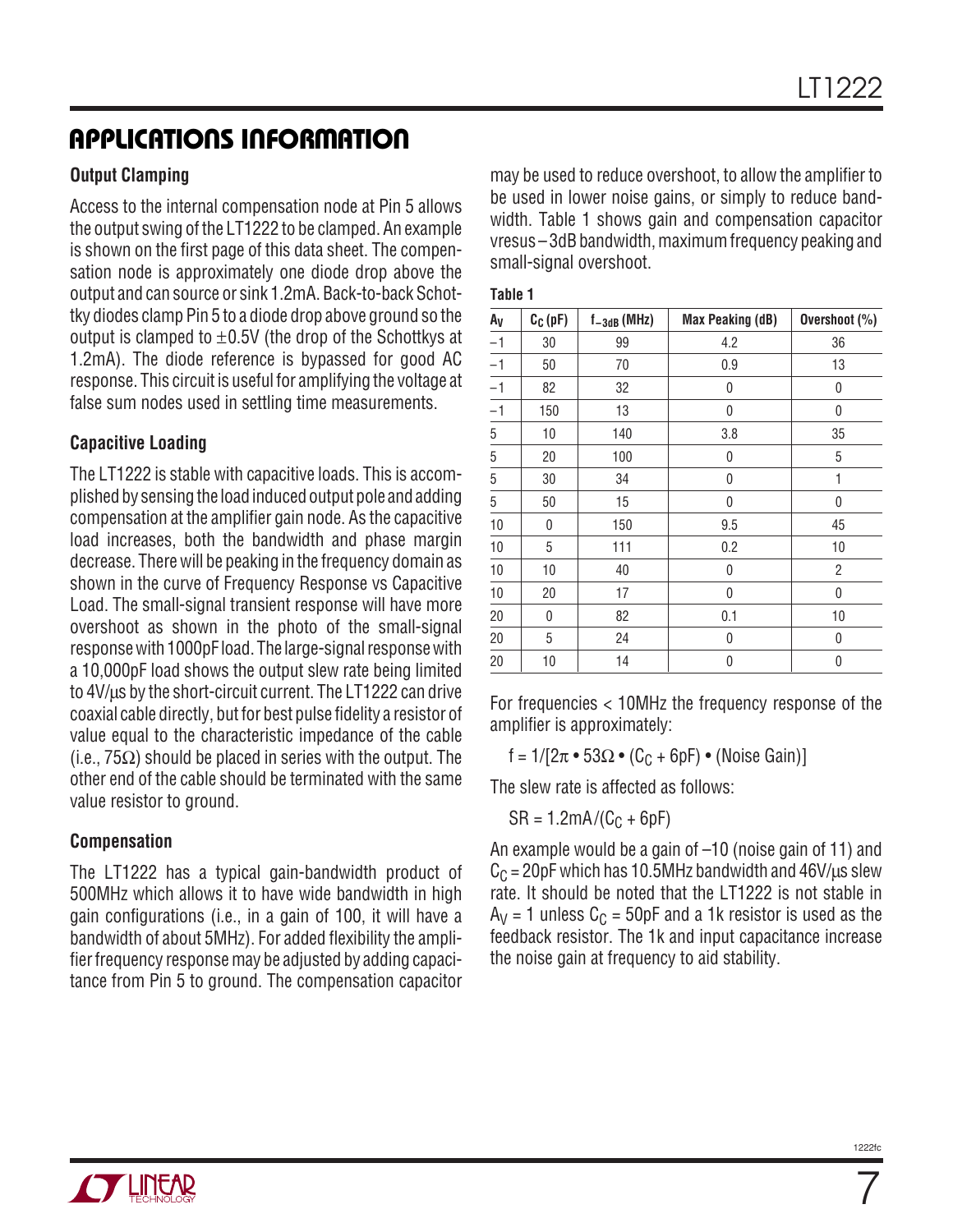### **APPLICATIONS INFORMATION U W U U**

### **Output Clamping**

Access to the internal compensation node at Pin 5 allows the output swing of the LT1222 to be clamped. An example is shown on the first page of this data sheet. The compensation node is approximately one diode drop above the output and can source or sink 1.2mA. Back-to-back Schottky diodes clamp Pin 5 to a diode drop above ground so the output is clamped to  $\pm 0.5V$  (the drop of the Schottkys at 1.2mA). The diode reference is bypassed for good AC response. This circuit is useful for amplifying the voltage at false sum nodes used in settling time measurements.

### **Capacitive Loading**

The LT1222 is stable with capacitive loads. This is accomplished by sensing the load induced output pole and adding compensation at the amplifier gain node. As the capacitive load increases, both the bandwidth and phase margin decrease. There will be peaking in the frequency domain as shown in the curve of Frequency Response vs Capacitive Load. The small-signal transient response will have more overshoot as shown in the photo of the small-signal response with 1000pF load. The large-signal response with a 10,000pF load shows the output slew rate being limited to 4V/μs by the short-circuit current. The LT1222 can drive coaxial cable directly, but for best pulse fidelity a resistor of value equal to the characteristic impedance of the cable (i.e.,  $75\Omega$ ) should be placed in series with the output. The other end of the cable should be terminated with the same value resistor to ground.

### **Compensation**

The LT1222 has a typical gain-bandwidth product of 500MHz which allows it to have wide bandwidth in high gain configurations (i.e., in a gain of 100, it will have a bandwidth of about 5MHz). For added flexibility the amplifier frequency response may be adjusted by adding capacitance from Pin 5 to ground. The compensation capacitor

may be used to reduce overshoot, to allow the amplifier to be used in lower noise gains, or simply to reduce bandwidth. Table 1 shows gain and compensation capacitor vresus –3dB bandwidth, maximum frequency peaking and small-signal overshoot.

| . .<br>×<br>۰,<br>٠ |  |
|---------------------|--|
|---------------------|--|

| Α <sub>V</sub> | $C_C(pF)$    | $f_{-3dB}$ (MHz) | <b>Max Peaking (dB)</b> | Overshoot (%)  |
|----------------|--------------|------------------|-------------------------|----------------|
| $-1$           | 30           | 99               | 4.2                     | 36             |
| $-1$           | 50           | 70               | 0.9                     | 13             |
| $-1$           | 82           | 32               | 0                       | 0              |
| $-1$           | 150          | 13               | 0                       | 0              |
| 5              | 10           | 140              | 3.8                     | 35             |
| 5              | 20           | 100              | 0                       | 5              |
| $\overline{5}$ | 30           | 34               | 0                       | 1              |
| 5              | 50           | 15               | 0                       | 0              |
| 10             | 0            | 150              | 9.5                     | 45             |
| 10             | 5            | 111              | 0.2                     | 10             |
| 10             | 10           | 40               | 0                       | $\overline{c}$ |
| 10             | 20           | 17               | 0                       | $\pmb{0}$      |
| 20             | $\mathbf{0}$ | 82               | 0.1                     | 10             |
| 20             | 5            | 24               | 0                       | 0              |
| 20             | 10           | 14               | 0                       | 0              |
|                |              |                  |                         |                |

For frequencies < 10MHz the frequency response of the amplifier is approximately:

f =  $1/[2\pi \cdot 53\Omega \cdot (C_C + 6pF) \cdot (Noise Gain)]$ 

The slew rate is affected as follows:

 $SR = 1.2mA/(C_C + 6pF)$ 

An example would be a gain of –10 (noise gain of 11) and  $C_C$  = 20pF which has 10.5MHz bandwidth and 46V/ $\mu$ s slew rate. It should be noted that the LT1222 is not stable in  $A_V = 1$  unless  $C_C = 50pF$  and a 1k resistor is used as the feedback resistor. The 1k and input capacitance increase the noise gain at frequency to aid stability.

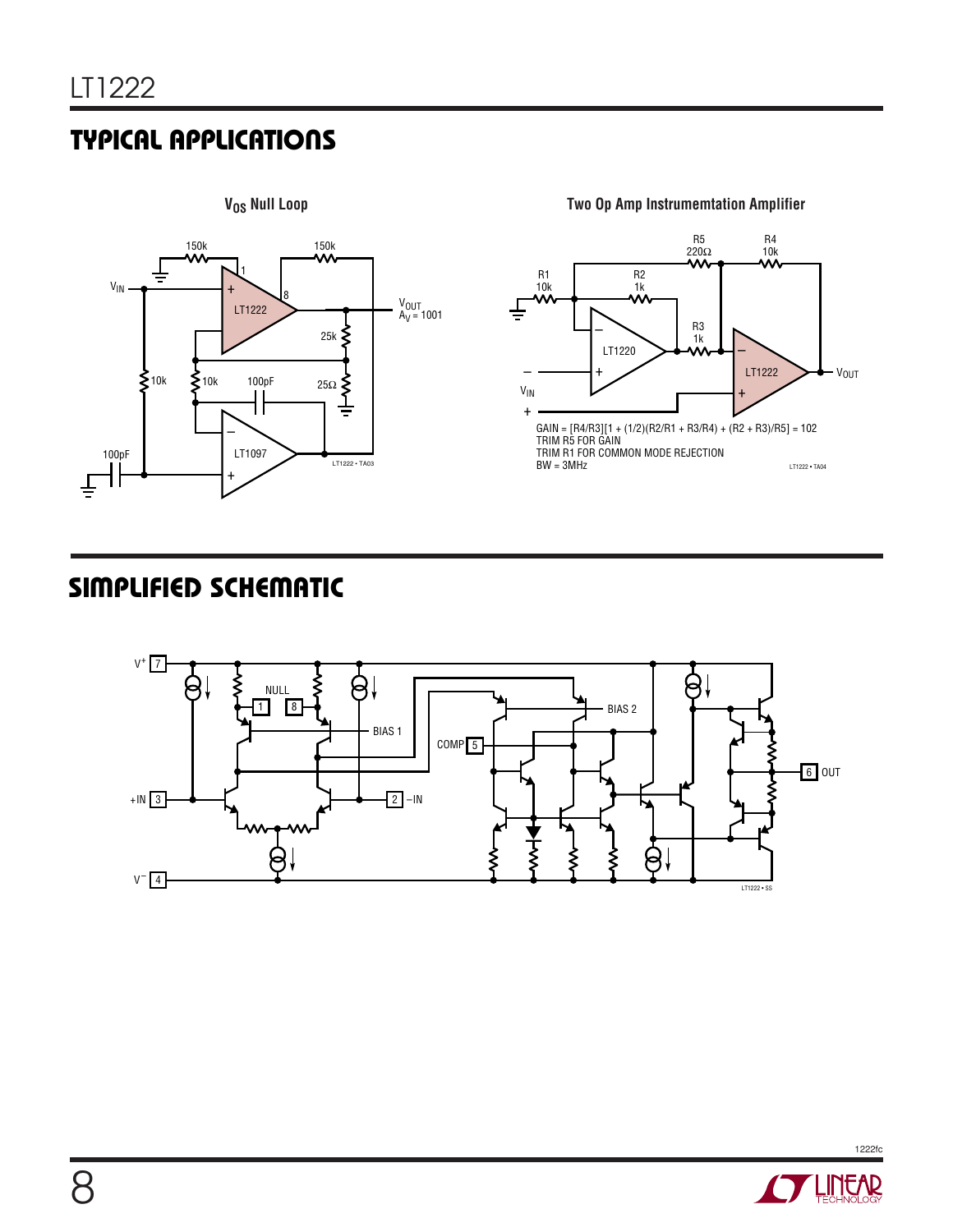# **TYPICAL APPLICATIONS NU**



**Two Op Amp Instrumemtation Amplifier**



## **SIMPLIFIED SCHEMATIC**



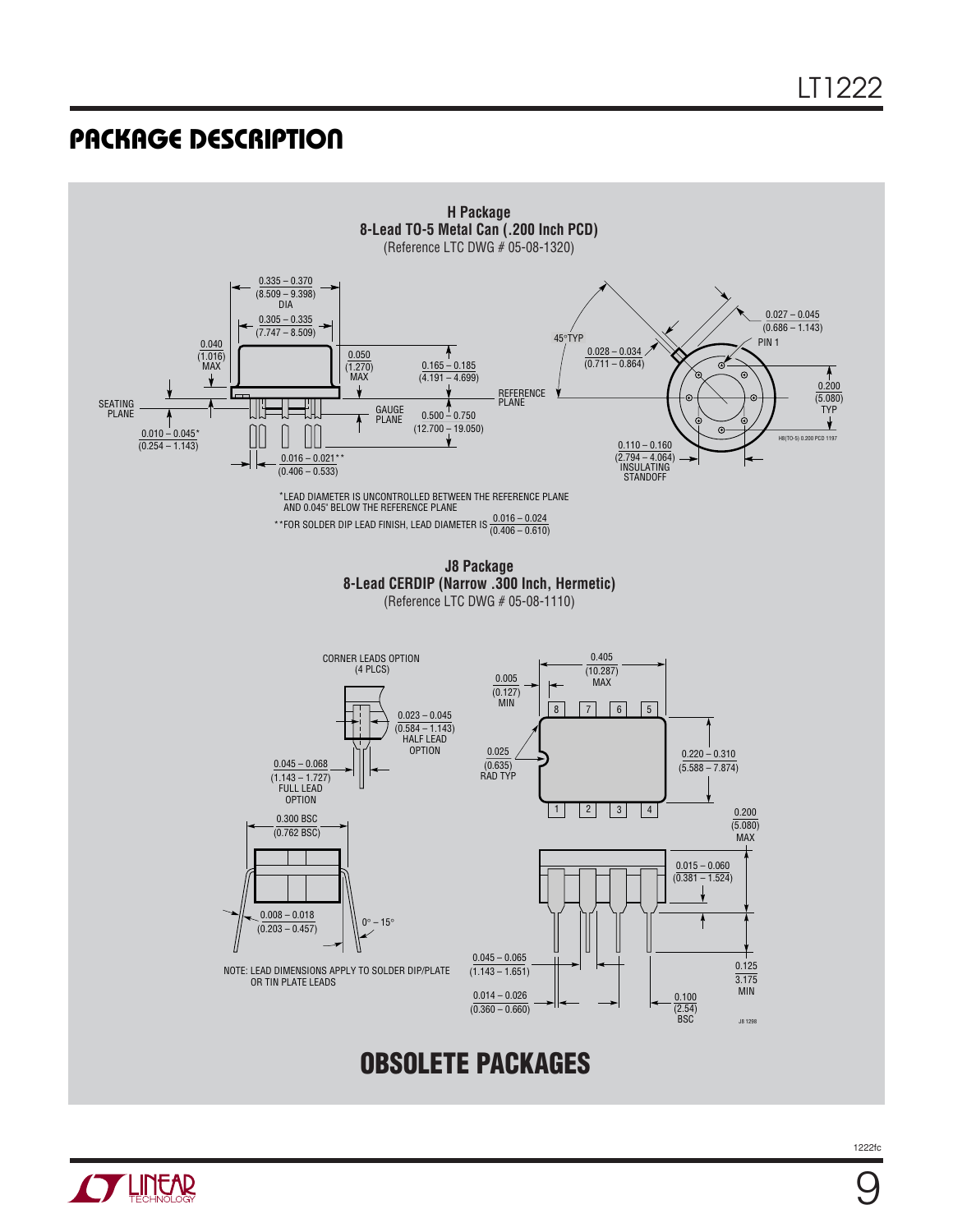### **PACKAGE DESCRIPTION U**

**THIRAD** 



1222fc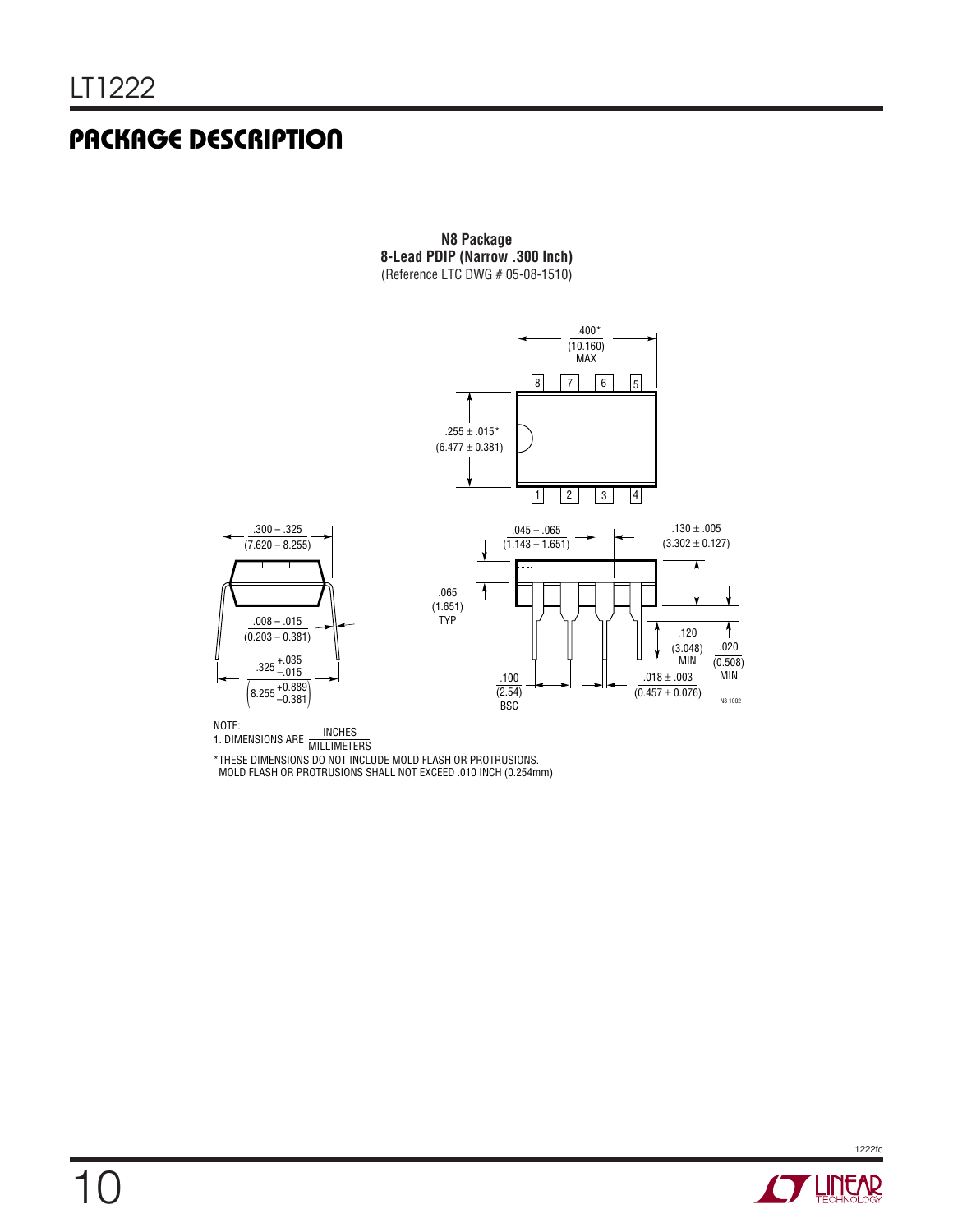### **PACKAGE DESCRIPTION U**

**N8 Package 8-Lead PDIP (Narrow .300 Inch)** (Reference LTC DWG  $# 05-08-1510)$ 



NOTE:<br>1. DIMENSIONS ARE MILLIMETERS

\*THESE DIMENSIONS DO NOT INCLUDE MOLD FLASH OR PROTRUSIONS. MOLD FLASH OR PROTRUSIONS SHALL NOT EXCEED .010 INCH (0.254mm)

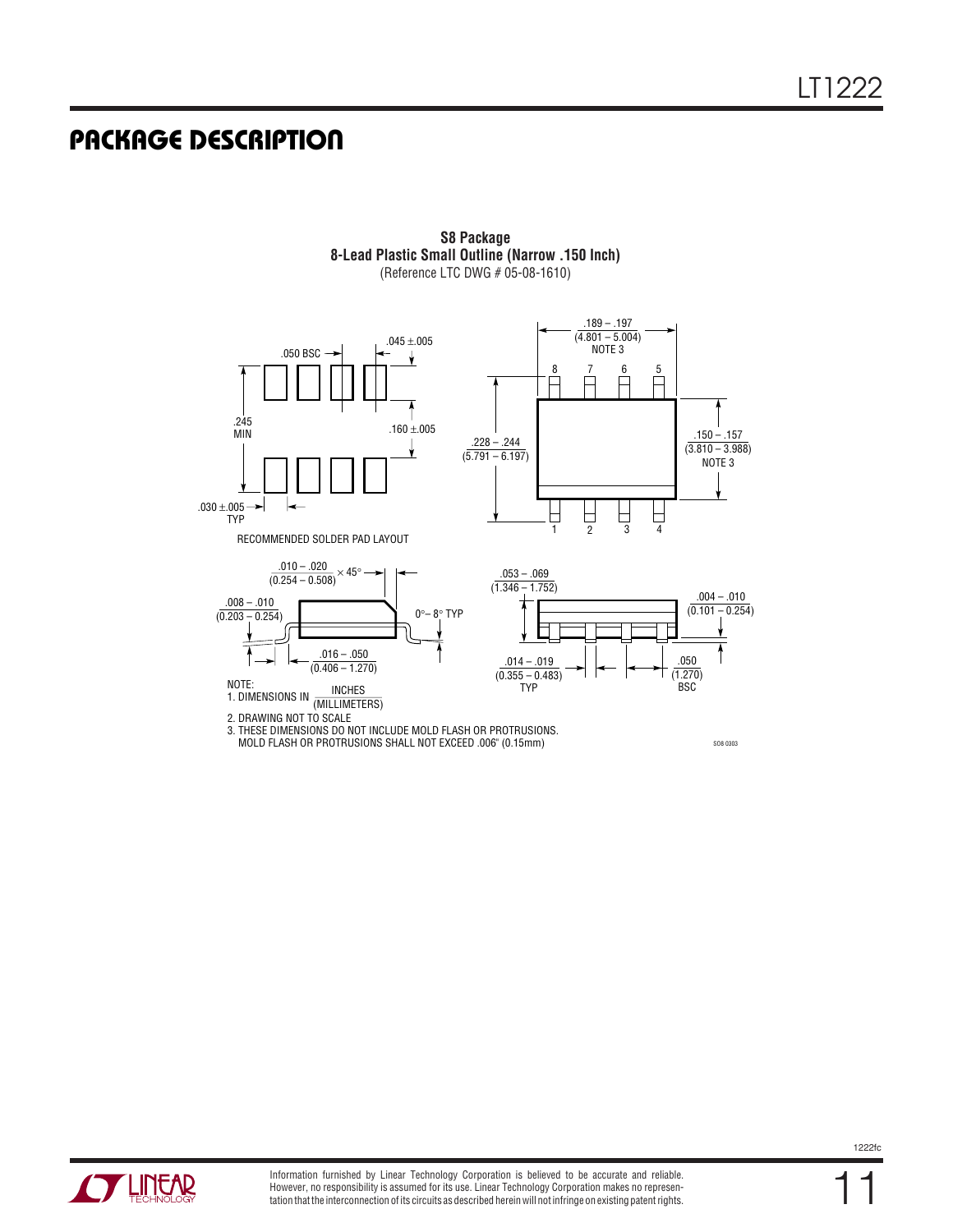### **PACKAGE DESCRIPTION U**



**S8 Package 8-Lead Plastic Small Outline (Narrow .150 Inch)** (Reference LTC DWG # 05-08-1610)

3. THESE DIMENSIONS DO NOT INCLUDE MOLD FLASH OR PROTRUSIONS. MOLD FLASH OR PROTRUSIONS SHALL NOT EXCEED .006" (0.15mm)

SO8 0303